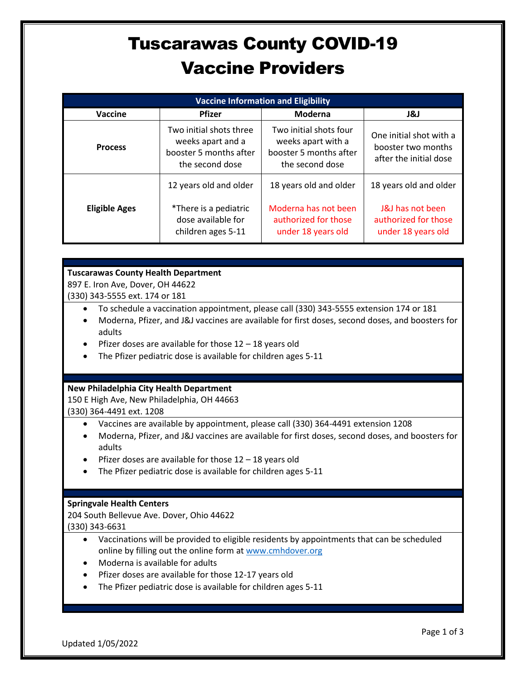## Tuscarawas County COVID-19 Vaccine Providers

| <b>Vaccine Information and Eligibility</b> |                                                                                           |                                                                                           |                                                                         |  |
|--------------------------------------------|-------------------------------------------------------------------------------------------|-------------------------------------------------------------------------------------------|-------------------------------------------------------------------------|--|
| Vaccine                                    | <b>Pfizer</b>                                                                             | Moderna                                                                                   | 1&J                                                                     |  |
| <b>Process</b>                             | Two initial shots three<br>weeks apart and a<br>booster 5 months after<br>the second dose | Two initial shots four<br>weeks apart with a<br>booster 5 months after<br>the second dose | One initial shot with a<br>booster two months<br>after the initial dose |  |
|                                            | 12 years old and older                                                                    | 18 years old and older                                                                    | 18 years old and older                                                  |  |
| <b>Eligible Ages</b>                       | *There is a pediatric<br>dose available for<br>children ages 5-11                         | Moderna has not been<br>authorized for those<br>under 18 years old                        | J&J has not been<br>authorized for those<br>under 18 years old          |  |

### **Tuscarawas County Health Department**

897 E. Iron Ave, Dover, OH 44622

(330) 343-5555 ext. 174 or 181

- To schedule a vaccination appointment, please call (330) 343-5555 extension 174 or 181
- Moderna, Pfizer, and J&J vaccines are available for first doses, second doses, and boosters for adults
- Pfizer doses are available for those 12 18 years old
- The Pfizer pediatric dose is available for children ages 5-11

#### **New Philadelphia City Health Department**

150 E High Ave, New Philadelphia, OH 44663 (330) 364-4491 ext. 1208

- Vaccines are available by appointment, please call (330) 364-4491 extension 1208
- Moderna, Pfizer, and J&J vaccines are available for first doses, second doses, and boosters for adults
- Pfizer doses are available for those  $12 18$  years old
- The Pfizer pediatric dose is available for children ages 5-11

#### **Springvale Health Centers**

204 South Bellevue Ave. Dover, Ohio 44622 (330) 343-6631

- Vaccinations will be provided to eligible residents by appointments that can be scheduled online by filling out the online form at [www.cmhdover.org](http://www.cmhdover.org/)
- Moderna is available for adults
- Pfizer doses are available for those 12-17 years old
- The Pfizer pediatric dose is available for children ages 5-11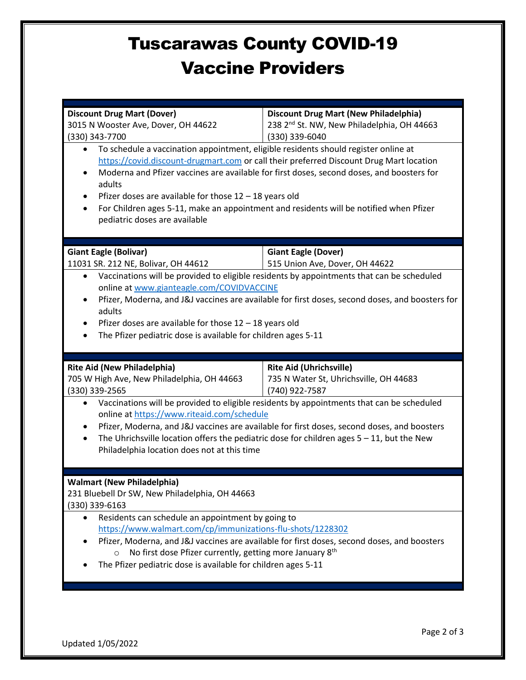### Tuscarawas County COVID-19 Vaccine Providers

|                                                                                                                                                                                | <b>Discount Drug Mart (New Philadelphia)</b>                                                 |  |  |  |  |
|--------------------------------------------------------------------------------------------------------------------------------------------------------------------------------|----------------------------------------------------------------------------------------------|--|--|--|--|
| <b>Discount Drug Mart (Dover)</b><br>3015 N Wooster Ave, Dover, OH 44622                                                                                                       | 238 2 <sup>nd</sup> St. NW, New Philadelphia, OH 44663                                       |  |  |  |  |
| (330) 343-7700                                                                                                                                                                 | (330) 339-6040                                                                               |  |  |  |  |
|                                                                                                                                                                                |                                                                                              |  |  |  |  |
| To schedule a vaccination appointment, eligible residents should register online at<br>https://covid.discount-drugmart.com or call their preferred Discount Drug Mart location |                                                                                              |  |  |  |  |
| Moderna and Pfizer vaccines are available for first doses, second doses, and boosters for                                                                                      |                                                                                              |  |  |  |  |
| adults                                                                                                                                                                         |                                                                                              |  |  |  |  |
| Pfizer doses are available for those $12 - 18$ years old                                                                                                                       |                                                                                              |  |  |  |  |
| For Children ages 5-11, make an appointment and residents will be notified when Pfizer                                                                                         |                                                                                              |  |  |  |  |
| pediatric doses are available                                                                                                                                                  |                                                                                              |  |  |  |  |
|                                                                                                                                                                                |                                                                                              |  |  |  |  |
|                                                                                                                                                                                |                                                                                              |  |  |  |  |
| <b>Giant Eagle (Bolivar)</b>                                                                                                                                                   | <b>Giant Eagle (Dover)</b>                                                                   |  |  |  |  |
| 11031 SR. 212 NE, Bolivar, OH 44612                                                                                                                                            | 515 Union Ave, Dover, OH 44622                                                               |  |  |  |  |
| Vaccinations will be provided to eligible residents by appointments that can be scheduled                                                                                      |                                                                                              |  |  |  |  |
| online at www.gianteagle.com/COVIDVACCINE                                                                                                                                      |                                                                                              |  |  |  |  |
| Pfizer, Moderna, and J&J vaccines are available for first doses, second doses, and boosters for                                                                                |                                                                                              |  |  |  |  |
| adults                                                                                                                                                                         |                                                                                              |  |  |  |  |
| Pfizer doses are available for those $12 - 18$ years old                                                                                                                       |                                                                                              |  |  |  |  |
| The Pfizer pediatric dose is available for children ages 5-11                                                                                                                  |                                                                                              |  |  |  |  |
|                                                                                                                                                                                |                                                                                              |  |  |  |  |
|                                                                                                                                                                                |                                                                                              |  |  |  |  |
|                                                                                                                                                                                |                                                                                              |  |  |  |  |
| <b>Rite Aid (New Philadelphia)</b>                                                                                                                                             | <b>Rite Aid (Uhrichsville)</b>                                                               |  |  |  |  |
| 705 W High Ave, New Philadelphia, OH 44663<br>(330) 339-2565                                                                                                                   | 735 N Water St, Uhrichsville, OH 44683<br>(740) 922-7587                                     |  |  |  |  |
| $\bullet$                                                                                                                                                                      | Vaccinations will be provided to eligible residents by appointments that can be scheduled    |  |  |  |  |
| online at https://www.riteaid.com/schedule                                                                                                                                     |                                                                                              |  |  |  |  |
|                                                                                                                                                                                | Pfizer, Moderna, and J&J vaccines are available for first doses, second doses, and boosters  |  |  |  |  |
| $\bullet$                                                                                                                                                                      | The Uhrichsville location offers the pediatric dose for children ages $5 - 11$ , but the New |  |  |  |  |
| Philadelphia location does not at this time                                                                                                                                    |                                                                                              |  |  |  |  |
|                                                                                                                                                                                |                                                                                              |  |  |  |  |
|                                                                                                                                                                                |                                                                                              |  |  |  |  |
| <b>Walmart (New Philadelphia)</b>                                                                                                                                              |                                                                                              |  |  |  |  |
| 231 Bluebell Dr SW, New Philadelphia, OH 44663                                                                                                                                 |                                                                                              |  |  |  |  |
| (330) 339-6163                                                                                                                                                                 |                                                                                              |  |  |  |  |
| Residents can schedule an appointment by going to                                                                                                                              |                                                                                              |  |  |  |  |
| https://www.walmart.com/cp/immunizations-flu-shots/1228302                                                                                                                     |                                                                                              |  |  |  |  |
|                                                                                                                                                                                | Pfizer, Moderna, and J&J vaccines are available for first doses, second doses, and boosters  |  |  |  |  |
| No first dose Pfizer currently, getting more January 8 <sup>th</sup><br>$\circ$                                                                                                |                                                                                              |  |  |  |  |
| The Pfizer pediatric dose is available for children ages 5-11                                                                                                                  |                                                                                              |  |  |  |  |
|                                                                                                                                                                                |                                                                                              |  |  |  |  |